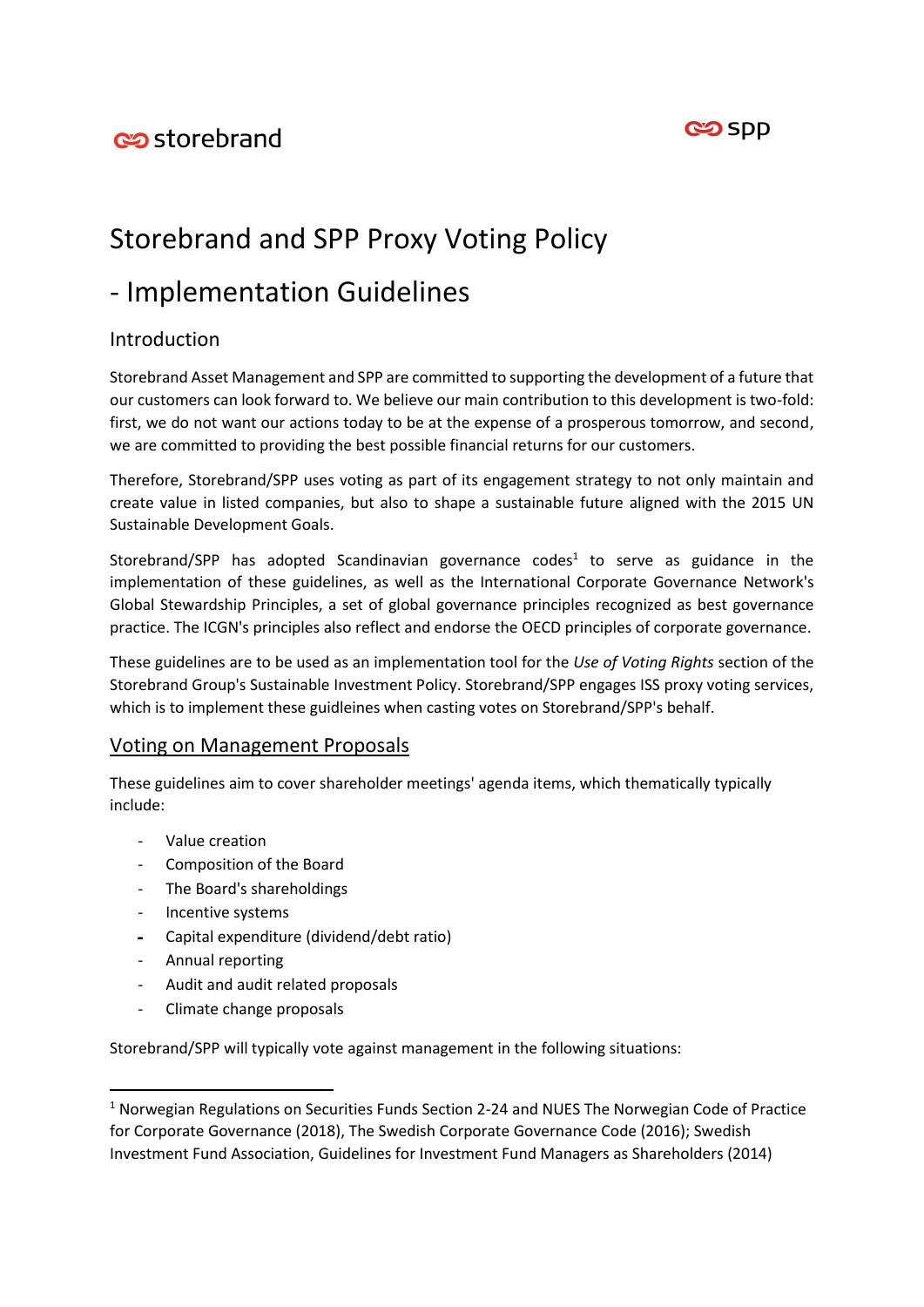

# Storebrand and SPP Proxy Voting Policy

# - Implementation Guidelines

# Introduction

Storebrand Asset Management and SPP are committed to supporting the development of a future that our customers can look forward to. We believe our main contribution to this development is two-fold: first, we do not want our actions today to be at the expense of a prosperous tomorrow, and second, we are committed to providing the best possible financial returns for our customers.

Therefore, Storebrand/SPP uses voting as part of its engagement strategy to not only maintain and create value in listed companies, but also to shape a sustainable future aligned with the 2015 UN Sustainable Development Goals.

Storebrand/SPP has adopted Scandinavian governance codes<sup>1</sup> to serve as guidance in the implementation of these guidelines, as well as the International Corporate Governance Network's Global Stewardship Principles, a set of global governance principles recognized as best governance practice. The ICGN's principles also reflect and endorse the OECD principles of corporate governance.

These guidelines are to be used as an implementation tool for the *Use of Voting Rights* section of the Storebrand Group's Sustainable Investment Policy. Storebrand/SPP engages ISS proxy voting services, which is to implement these guidleines when casting votes on Storebrand/SPP's behalf.

# Voting on Management Proposals

These guidelines aim to cover shareholder meetings' agenda items, which thematically typically include:

- Value creation
- Composition of the Board
- The Board's shareholdings
- Incentive systems
- Capital expenditure (dividend/debt ratio)
- Annual reporting

**.** 

- Audit and audit related proposals
- Climate change proposals

Storebrand/SPP will typically vote against management in the following situations:

<sup>&</sup>lt;sup>1</sup> Norwegian Regulations on Securities Funds Section 2-24 and NUES The Norwegian Code of Practice for Corporate Governance (2018), The Swedish Corporate Governance Code (2016); Swedish Investment Fund Association, Guidelines for Investment Fund Managers as Shareholders (2014)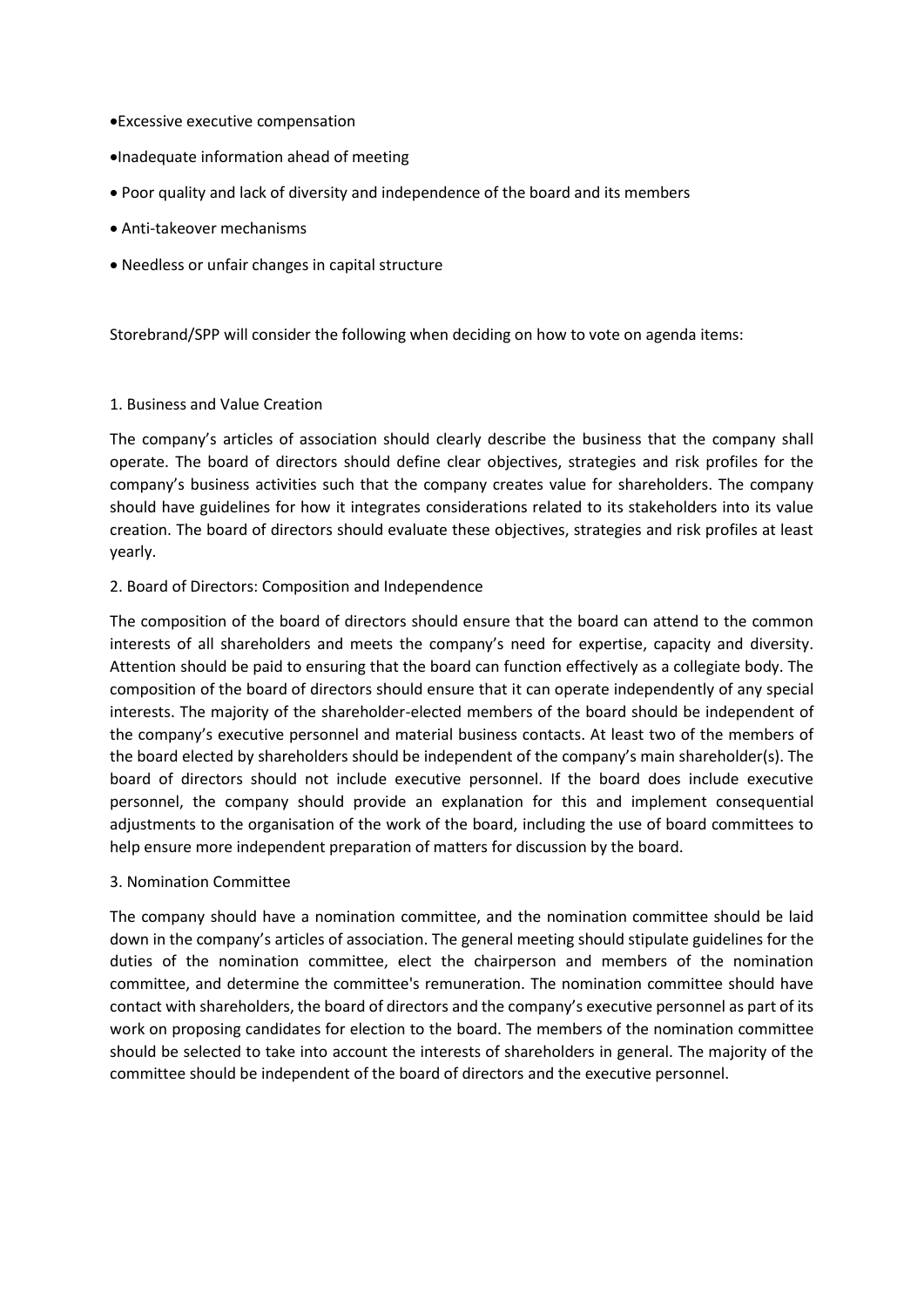- Excessive executive compensation
- Inadequate information ahead of meeting
- Poor quality and lack of diversity and independence of the board and its members
- Anti-takeover mechanisms
- Needless or unfair changes in capital structure

Storebrand/SPP will consider the following when deciding on how to vote on agenda items:

#### 1. Business and Value Creation

The company's articles of association should clearly describe the business that the company shall operate. The board of directors should define clear objectives, strategies and risk profiles for the company's business activities such that the company creates value for shareholders. The company should have guidelines for how it integrates considerations related to its stakeholders into its value creation. The board of directors should evaluate these objectives, strategies and risk profiles at least yearly.

#### 2. Board of Directors: Composition and Independence

The composition of the board of directors should ensure that the board can attend to the common interests of all shareholders and meets the company's need for expertise, capacity and diversity. Attention should be paid to ensuring that the board can function effectively as a collegiate body. The composition of the board of directors should ensure that it can operate independently of any special interests. The majority of the shareholder-elected members of the board should be independent of the company's executive personnel and material business contacts. At least two of the members of the board elected by shareholders should be independent of the company's main shareholder(s). The board of directors should not include executive personnel. If the board does include executive personnel, the company should provide an explanation for this and implement consequential adjustments to the organisation of the work of the board, including the use of board committees to help ensure more independent preparation of matters for discussion by the board.

3. Nomination Committee

The company should have a nomination committee, and the nomination committee should be laid down in the company's articles of association. The general meeting should stipulate guidelines for the duties of the nomination committee, elect the chairperson and members of the nomination committee, and determine the committee's remuneration. The nomination committee should have contact with shareholders, the board of directors and the company's executive personnel as part of its work on proposing candidates for election to the board. The members of the nomination committee should be selected to take into account the interests of shareholders in general. The majority of the committee should be independent of the board of directors and the executive personnel.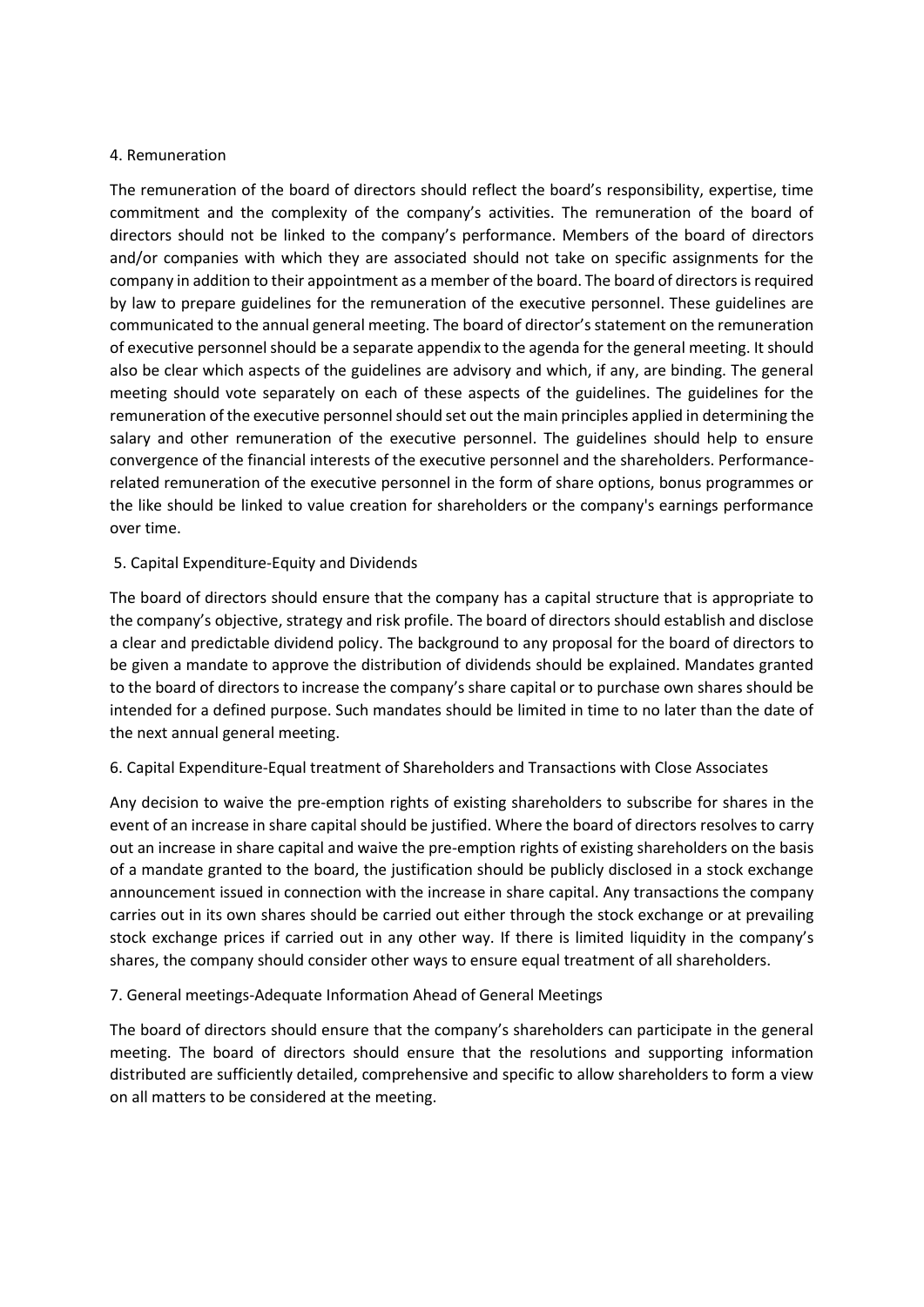#### 4. Remuneration

The remuneration of the board of directors should reflect the board's responsibility, expertise, time commitment and the complexity of the company's activities. The remuneration of the board of directors should not be linked to the company's performance. Members of the board of directors and/or companies with which they are associated should not take on specific assignments for the company in addition to their appointment as a member of the board. The board of directors is required by law to prepare guidelines for the remuneration of the executive personnel. These guidelines are communicated to the annual general meeting. The board of director's statement on the remuneration of executive personnel should be a separate appendix to the agenda for the general meeting. It should also be clear which aspects of the guidelines are advisory and which, if any, are binding. The general meeting should vote separately on each of these aspects of the guidelines. The guidelines for the remuneration of the executive personnel should set out the main principles applied in determining the salary and other remuneration of the executive personnel. The guidelines should help to ensure convergence of the financial interests of the executive personnel and the shareholders. Performancerelated remuneration of the executive personnel in the form of share options, bonus programmes or the like should be linked to value creation for shareholders or the company's earnings performance over time.

## 5. Capital Expenditure-Equity and Dividends

The board of directors should ensure that the company has a capital structure that is appropriate to the company's objective, strategy and risk profile. The board of directors should establish and disclose a clear and predictable dividend policy. The background to any proposal for the board of directors to be given a mandate to approve the distribution of dividends should be explained. Mandates granted to the board of directors to increase the company's share capital or to purchase own shares should be intended for a defined purpose. Such mandates should be limited in time to no later than the date of the next annual general meeting.

## 6. Capital Expenditure-Equal treatment of Shareholders and Transactions with Close Associates

Any decision to waive the pre-emption rights of existing shareholders to subscribe for shares in the event of an increase in share capital should be justified. Where the board of directors resolves to carry out an increase in share capital and waive the pre-emption rights of existing shareholders on the basis of a mandate granted to the board, the justification should be publicly disclosed in a stock exchange announcement issued in connection with the increase in share capital. Any transactions the company carries out in its own shares should be carried out either through the stock exchange or at prevailing stock exchange prices if carried out in any other way. If there is limited liquidity in the company's shares, the company should consider other ways to ensure equal treatment of all shareholders.

## 7. General meetings-Adequate Information Ahead of General Meetings

The board of directors should ensure that the company's shareholders can participate in the general meeting. The board of directors should ensure that the resolutions and supporting information distributed are sufficiently detailed, comprehensive and specific to allow shareholders to form a view on all matters to be considered at the meeting.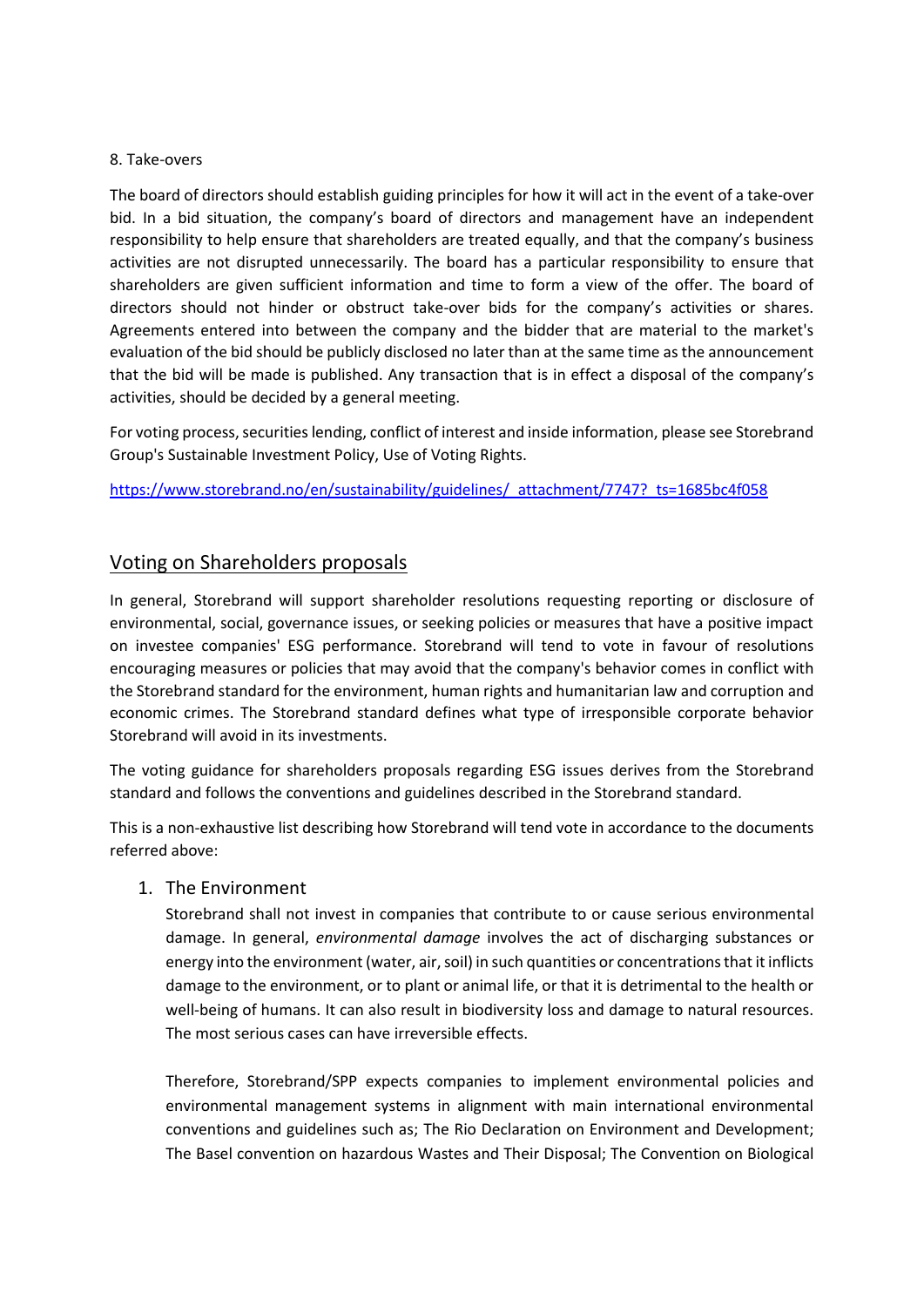#### 8. Take-overs

The board of directors should establish guiding principles for how it will act in the event of a take-over bid. In a bid situation, the company's board of directors and management have an independent responsibility to help ensure that shareholders are treated equally, and that the company's business activities are not disrupted unnecessarily. The board has a particular responsibility to ensure that shareholders are given sufficient information and time to form a view of the offer. The board of directors should not hinder or obstruct take-over bids for the company's activities or shares. Agreements entered into between the company and the bidder that are material to the market's evaluation of the bid should be publicly disclosed no later than at the same time as the announcement that the bid will be made is published. Any transaction that is in effect a disposal of the company's activities, should be decided by a general meeting.

For voting process, securities lending, conflict of interest and inside information, please see Storebrand Group's Sustainable Investment Policy, Use of Voting Rights.

[https://www.storebrand.no/en/sustainability/guidelines/\\_attachment/7747?\\_ts=1685bc4f058](https://www.storebrand.no/en/sustainability/guidelines/_attachment/7747?_ts=1685bc4f058)

## Voting on Shareholders proposals

In general, Storebrand will support shareholder resolutions requesting reporting or disclosure of environmental, social, governance issues, or seeking policies or measures that have a positive impact on investee companies' ESG performance. Storebrand will tend to vote in favour of resolutions encouraging measures or policies that may avoid that the company's behavior comes in conflict with the Storebrand standard for the environment, human rights and humanitarian law and corruption and economic crimes. The Storebrand standard defines what type of irresponsible corporate behavior Storebrand will avoid in its investments.

The voting guidance for shareholders proposals regarding ESG issues derives from the Storebrand standard and follows the conventions and guidelines described in the Storebrand standard.

This is a non-exhaustive list describing how Storebrand will tend vote in accordance to the documents referred above:

#### 1. The Environment

Storebrand shall not invest in companies that contribute to or cause serious environmental damage. In general, *environmental damage* involves the act of discharging substances or energy into the environment (water, air, soil) in such quantities or concentrations that it inflicts damage to the environment, or to plant or animal life, or that it is detrimental to the health or well-being of humans. It can also result in biodiversity loss and damage to natural resources. The most serious cases can have irreversible effects.

Therefore, Storebrand/SPP expects companies to implement environmental policies and environmental management systems in alignment with main international environmental conventions and guidelines such as; The Rio Declaration on Environment and Development; The Basel convention on hazardous Wastes and Their Disposal; The Convention on Biological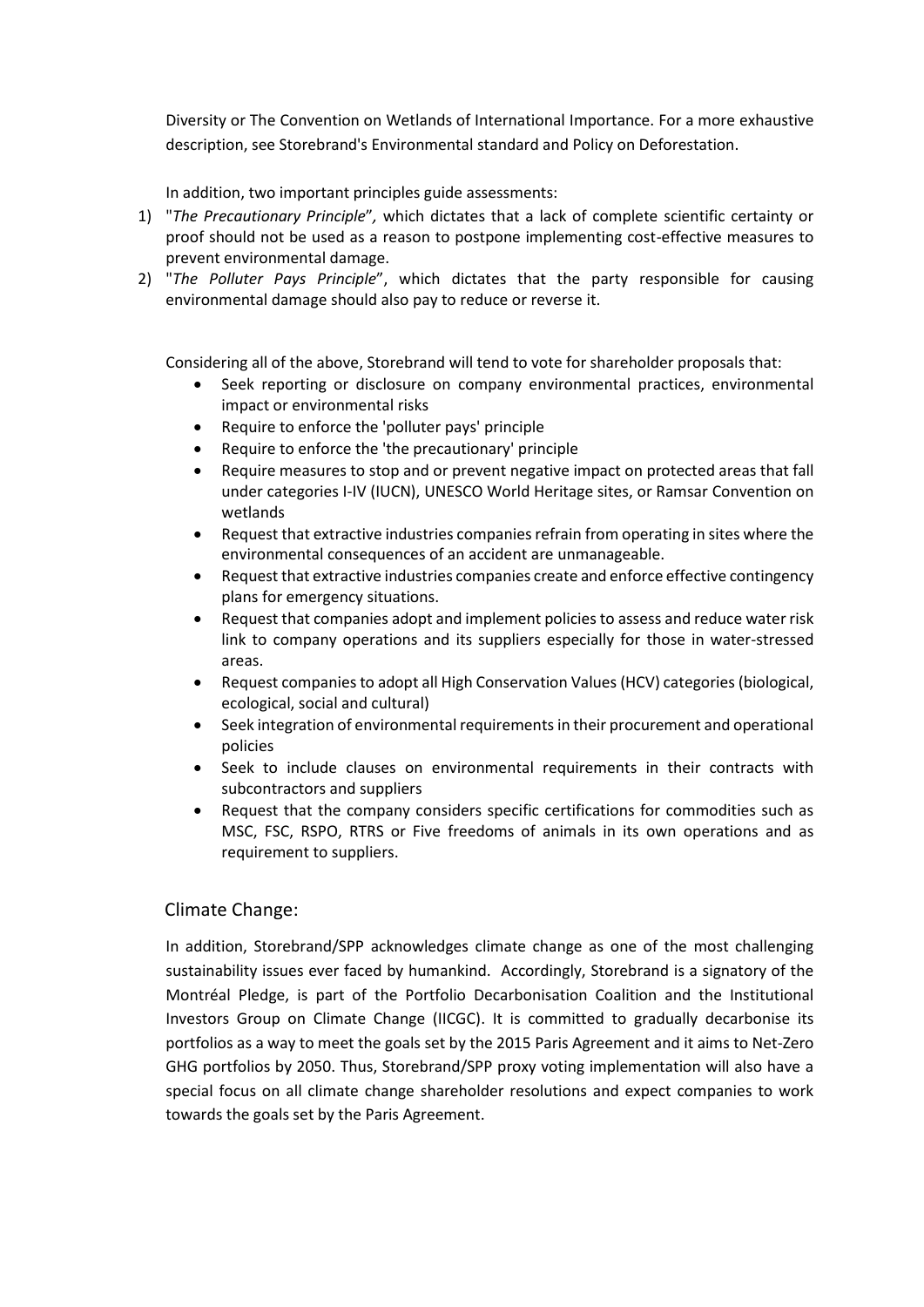Diversity or The Convention on Wetlands of International Importance. For a more exhaustive description, see Storebrand's Environmental standard and Policy on Deforestation.

In addition, two important principles guide assessments:

- 1) "*The Precautionary Principle*"*,* which dictates that a lack of complete scientific certainty or proof should not be used as a reason to postpone implementing cost-effective measures to prevent environmental damage.
- 2) "*The Polluter Pays Principle*", which dictates that the party responsible for causing environmental damage should also pay to reduce or reverse it.

Considering all of the above, Storebrand will tend to vote for shareholder proposals that:

- Seek reporting or disclosure on company environmental practices, environmental impact or environmental risks
- Require to enforce the 'polluter pays' principle
- Require to enforce the 'the precautionary' principle
- Require measures to stop and or prevent negative impact on protected areas that fall under categories I-IV (IUCN), UNESCO World Heritage sites, or Ramsar Convention on wetlands
- Request that extractive industries companies refrain from operating in sites where the environmental consequences of an accident are unmanageable.
- Request that extractive industries companies create and enforce effective contingency plans for emergency situations.
- Request that companies adopt and implement policies to assess and reduce water risk link to company operations and its suppliers especially for those in water-stressed areas.
- Request companies to adopt all High Conservation Values (HCV) categories (biological, ecological, social and cultural)
- Seek integration of environmental requirements in their procurement and operational policies
- Seek to include clauses on environmental requirements in their contracts with subcontractors and suppliers
- Request that the company considers specific certifications for commodities such as MSC, FSC, RSPO, RTRS or Five freedoms of animals in its own operations and as requirement to suppliers.

## Climate Change:

In addition, Storebrand/SPP acknowledges climate change as one of the most challenging sustainability issues ever faced by humankind. Accordingly, Storebrand is a signatory of the Montréal Pledge, is part of the Portfolio Decarbonisation Coalition and the Institutional Investors Group on Climate Change (IICGC). It is committed to gradually decarbonise its portfolios as a way to meet the goals set by the 2015 Paris Agreement and it aims to Net-Zero GHG portfolios by 2050. Thus, Storebrand/SPP proxy voting implementation will also have a special focus on all climate change shareholder resolutions and expect companies to work towards the goals set by the Paris Agreement.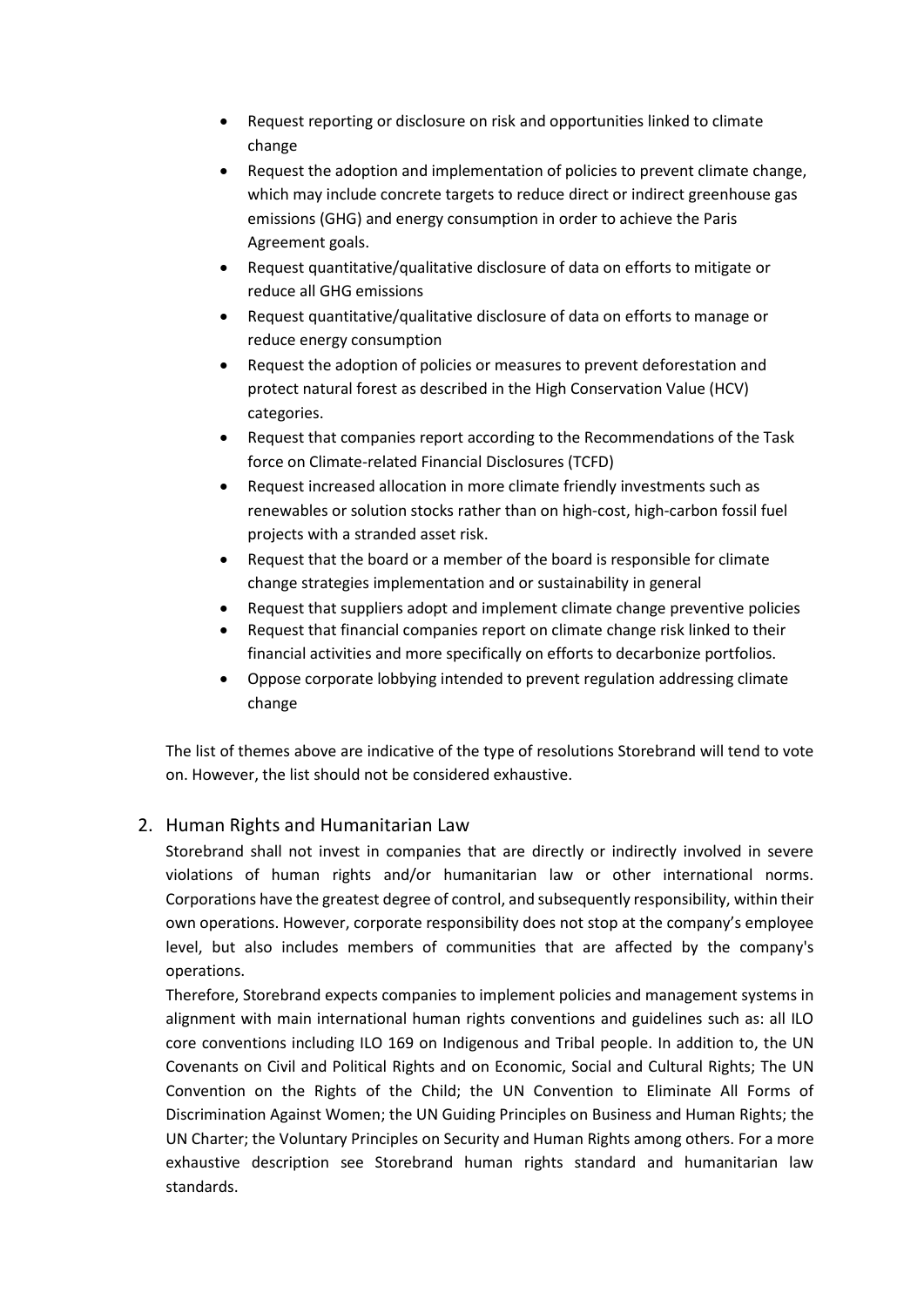- Request reporting or disclosure on risk and opportunities linked to climate change
- Request the adoption and implementation of policies to prevent climate change, which may include concrete targets to reduce direct or indirect greenhouse gas emissions (GHG) and energy consumption in order to achieve the Paris Agreement goals.
- Request quantitative/qualitative disclosure of data on efforts to mitigate or reduce all GHG emissions
- Request quantitative/qualitative disclosure of data on efforts to manage or reduce energy consumption
- Request the adoption of policies or measures to prevent deforestation and protect natural forest as described in the High Conservation Value (HCV) categories.
- Request that companies report according to the Recommendations of the Task force on Climate-related Financial Disclosures (TCFD)
- Request increased allocation in more climate friendly investments such as renewables or solution stocks rather than on high-cost, high-carbon fossil fuel projects with a stranded asset risk.
- Request that the board or a member of the board is responsible for climate change strategies implementation and or sustainability in general
- Request that suppliers adopt and implement climate change preventive policies
- Request that financial companies report on climate change risk linked to their financial activities and more specifically on efforts to decarbonize portfolios.
- Oppose corporate lobbying intended to prevent regulation addressing climate change

The list of themes above are indicative of the type of resolutions Storebrand will tend to vote on. However, the list should not be considered exhaustive.

# 2. Human Rights and Humanitarian Law

Storebrand shall not invest in companies that are directly or indirectly involved in severe violations of human rights and/or humanitarian law or other international norms. Corporations have the greatest degree of control, and subsequently responsibility, within their own operations. However, corporate responsibility does not stop at the company's employee level, but also includes members of communities that are affected by the company's operations.

Therefore, Storebrand expects companies to implement policies and management systems in alignment with main international human rights conventions and guidelines such as: all ILO core conventions including ILO 169 on Indigenous and Tribal people. In addition to, the UN Covenants on Civil and Political Rights and on Economic, Social and Cultural Rights; The UN Convention on the Rights of the Child; the UN Convention to Eliminate All Forms of Discrimination Against Women; the UN Guiding Principles on Business and Human Rights; the UN Charter; the Voluntary Principles on Security and Human Rights among others. For a more exhaustive description see Storebrand human rights standard and humanitarian law standards.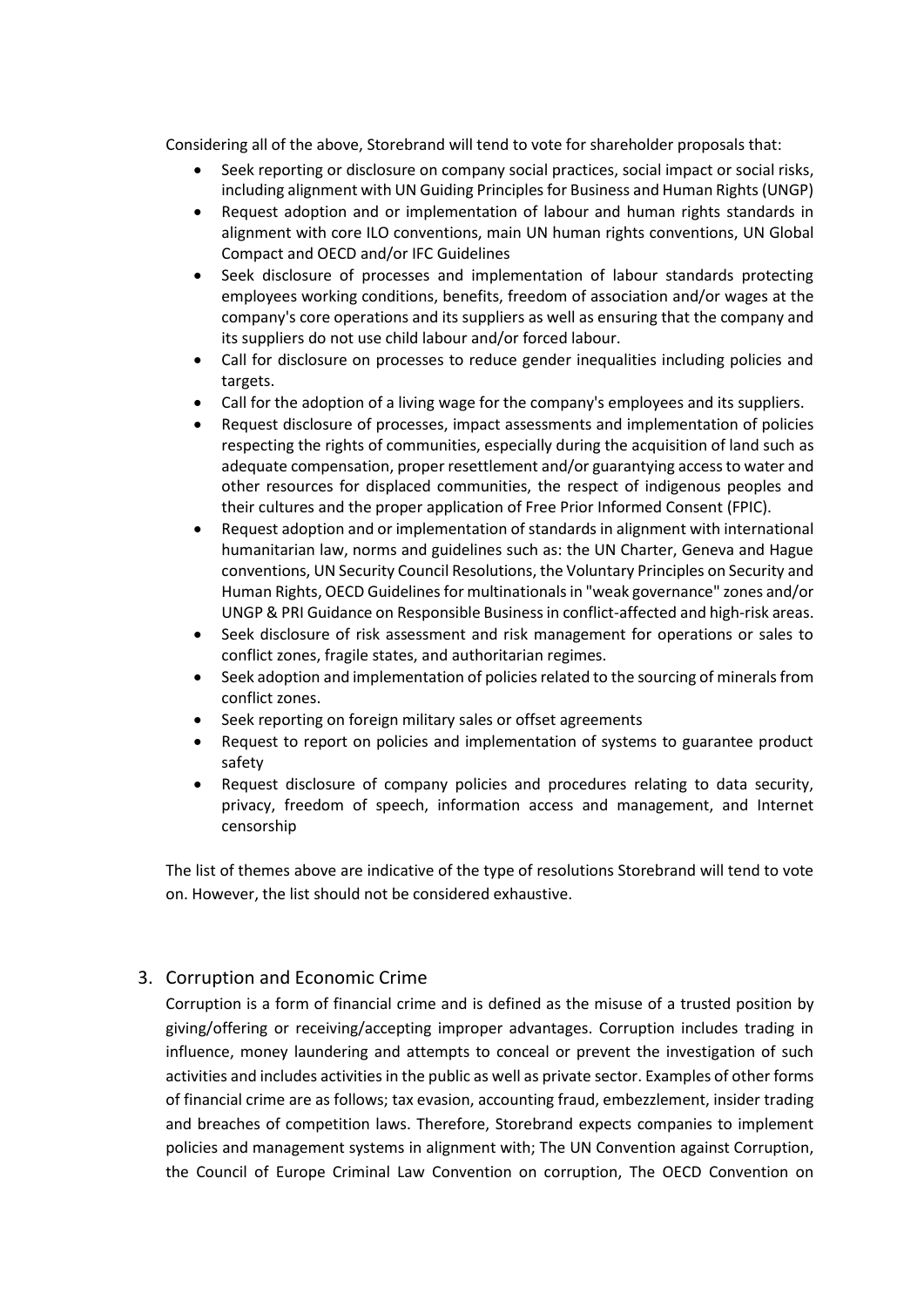Considering all of the above, Storebrand will tend to vote for shareholder proposals that:

- Seek reporting or disclosure on company social practices, social impact or social risks, including alignment with UN Guiding Principles for Business and Human Rights (UNGP)
- Request adoption and or implementation of labour and human rights standards in alignment with core ILO conventions, main UN human rights conventions, UN Global Compact and OECD and/or IFC Guidelines
- Seek disclosure of processes and implementation of labour standards protecting employees working conditions, benefits, freedom of association and/or wages at the company's core operations and its suppliers as well as ensuring that the company and its suppliers do not use child labour and/or forced labour.
- Call for disclosure on processes to reduce gender inequalities including policies and targets.
- Call for the adoption of a living wage for the company's employees and its suppliers.
- Request disclosure of processes, impact assessments and implementation of policies respecting the rights of communities, especially during the acquisition of land such as adequate compensation, proper resettlement and/or guarantying access to water and other resources for displaced communities, the respect of indigenous peoples and their cultures and the proper application of Free Prior Informed Consent (FPIC).
- Request adoption and or implementation of standards in alignment with international humanitarian law, norms and guidelines such as: the UN Charter, Geneva and Hague conventions, UN Security Council Resolutions, the Voluntary Principles on Security and Human Rights, OECD Guidelines for multinationals in "weak governance" zones and/or UNGP & PRI Guidance on Responsible Business in conflict-affected and high-risk areas.
- Seek disclosure of risk assessment and risk management for operations or sales to conflict zones, fragile states, and authoritarian regimes.
- Seek adoption and implementation of policies related to the sourcing of minerals from conflict zones.
- Seek reporting on foreign military sales or offset agreements
- Request to report on policies and implementation of systems to guarantee product safety
- Request disclosure of company policies and procedures relating to data security, privacy, freedom of speech, information access and management, and Internet censorship

The list of themes above are indicative of the type of resolutions Storebrand will tend to vote on. However, the list should not be considered exhaustive.

## 3. Corruption and Economic Crime

Corruption is a form of financial crime and is defined as the misuse of a trusted position by giving/offering or receiving/accepting improper advantages. Corruption includes trading in influence, money laundering and attempts to conceal or prevent the investigation of such activities and includes activities in the public as well as private sector. Examples of other forms of financial crime are as follows; tax evasion, accounting fraud, embezzlement, insider trading and breaches of competition laws. Therefore, Storebrand expects companies to implement policies and management systems in alignment with; The UN Convention against Corruption, the Council of Europe Criminal Law Convention on corruption, The OECD Convention on